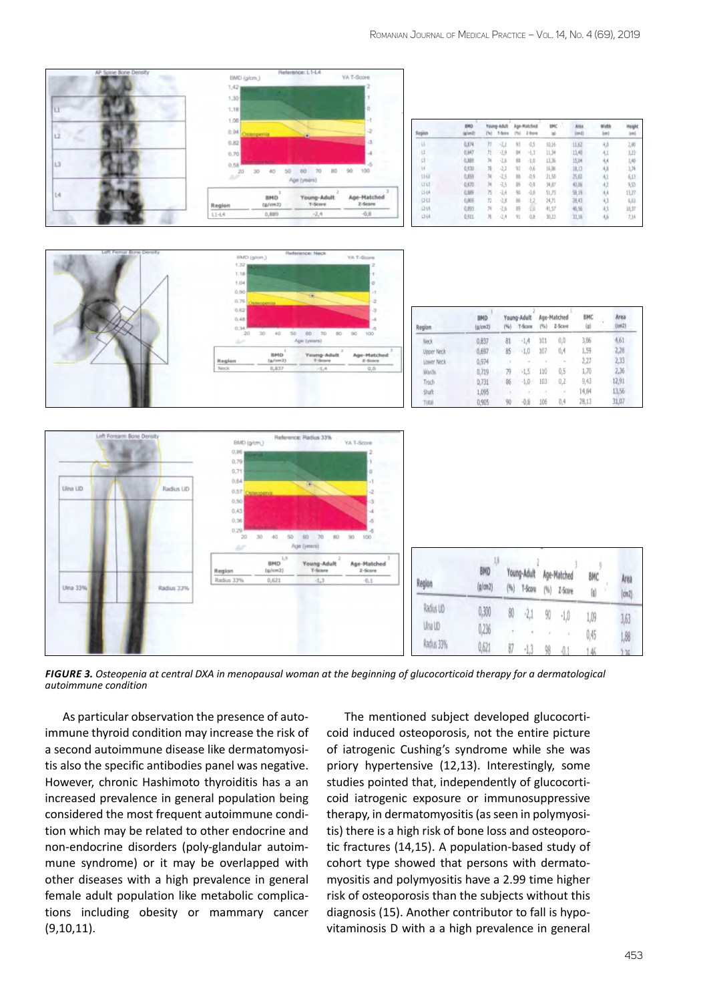

*Figure 3. Osteopenia at central DXA in menopausal woman at the beginning of glucocorticoid therapy for a dermatological autoimmune condition*

As particular observation the presence of autoimmune thyroid condition may increase the risk of a second autoimmune disease like dermatomyositis also the specific antibodies panel was negative. However, chronic Hashimoto thyroiditis has a an increased prevalence in general population being considered the most frequent autoimmune condition which may be related to other endocrine and non-endocrine disorders (poly-glandular autoimmune syndrome) or it may be overlapped with other diseases with a high prevalence in general female adult population like metabolic complications including obesity or mammary cancer (9,10,11).

The mentioned subject developed glucocorticoid induced osteoporosis, not the entire picture of iatrogenic Cushing's syndrome while she was priory hypertensive (12,13). Interestingly, some studies pointed that, independently of glucocorticoid iatrogenic exposure or immunosuppressive therapy, in dermatomyositis (as seen in polymyositis) there is a high risk of bone loss and osteoporotic fractures (14,15). A population-based study of cohort type showed that persons with dermatomyositis and polymyositis have a 2.99 time higher risk of osteoporosis than the subjects without this diagnosis (15). Another contributor to fall is hypovitaminosis D with a a high prevalence in general